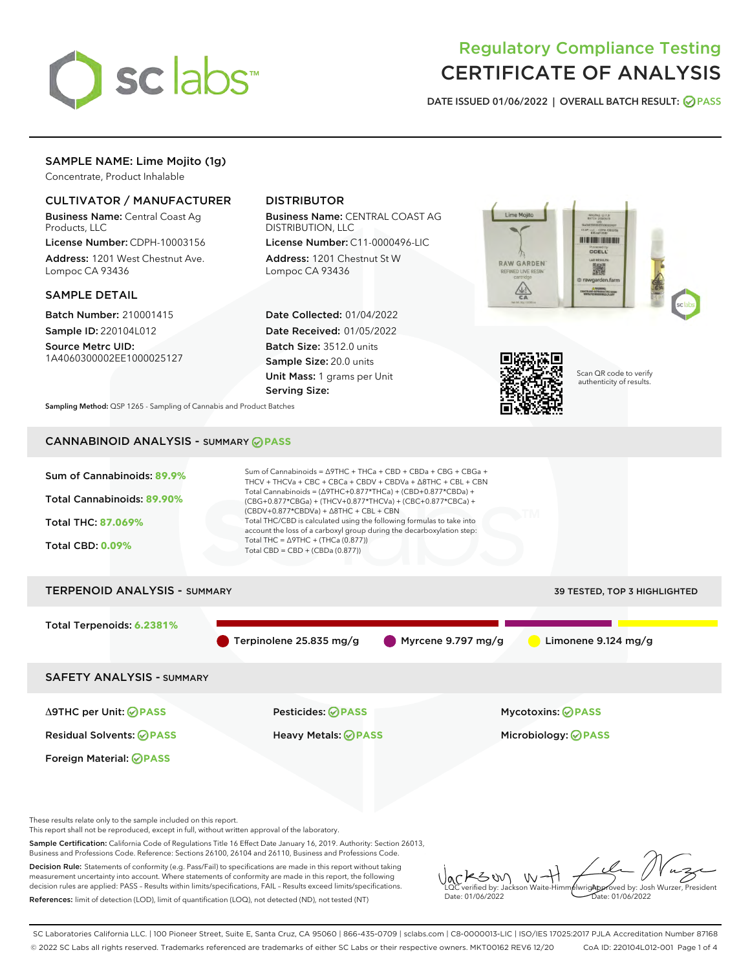

# Regulatory Compliance Testing CERTIFICATE OF ANALYSIS

DATE ISSUED 01/06/2022 | OVERALL BATCH RESULT: @ PASS

# SAMPLE NAME: Lime Mojito (1g)

Concentrate, Product Inhalable

# CULTIVATOR / MANUFACTURER

Business Name: Central Coast Ag Products, LLC

License Number: CDPH-10003156 Address: 1201 West Chestnut Ave. Lompoc CA 93436

#### SAMPLE DETAIL

Batch Number: 210001415 Sample ID: 220104L012

Source Metrc UID: 1A4060300002EE1000025127

# DISTRIBUTOR

Business Name: CENTRAL COAST AG DISTRIBUTION, LLC

License Number: C11-0000496-LIC Address: 1201 Chestnut St W Lompoc CA 93436

Date Collected: 01/04/2022 Date Received: 01/05/2022 Batch Size: 3512.0 units Sample Size: 20.0 units Unit Mass: 1 grams per Unit Serving Size:





Scan QR code to verify authenticity of results.

Sampling Method: QSP 1265 - Sampling of Cannabis and Product Batches

# CANNABINOID ANALYSIS - SUMMARY **PASS**



measurement uncertainty into account. Where statements of conformity are made in this report, the following decision rules are applied: PASS – Results within limits/specifications, FAIL – Results exceed limits/specifications. References: limit of detection (LOD), limit of quantification (LOQ), not detected (ND), not tested (NT)

LQC verified by: Jackson Waite-Himmelwright Date: 01/06/2022 Approved by: Josh Wurzer, President Date: 01/06/2022

SC Laboratories California LLC. | 100 Pioneer Street, Suite E, Santa Cruz, CA 95060 | 866-435-0709 | sclabs.com | C8-0000013-LIC | ISO/IES 17025:2017 PJLA Accreditation Number 87168 © 2022 SC Labs all rights reserved. Trademarks referenced are trademarks of either SC Labs or their respective owners. MKT00162 REV6 12/20 CoA ID: 220104L012-001 Page 1 of 4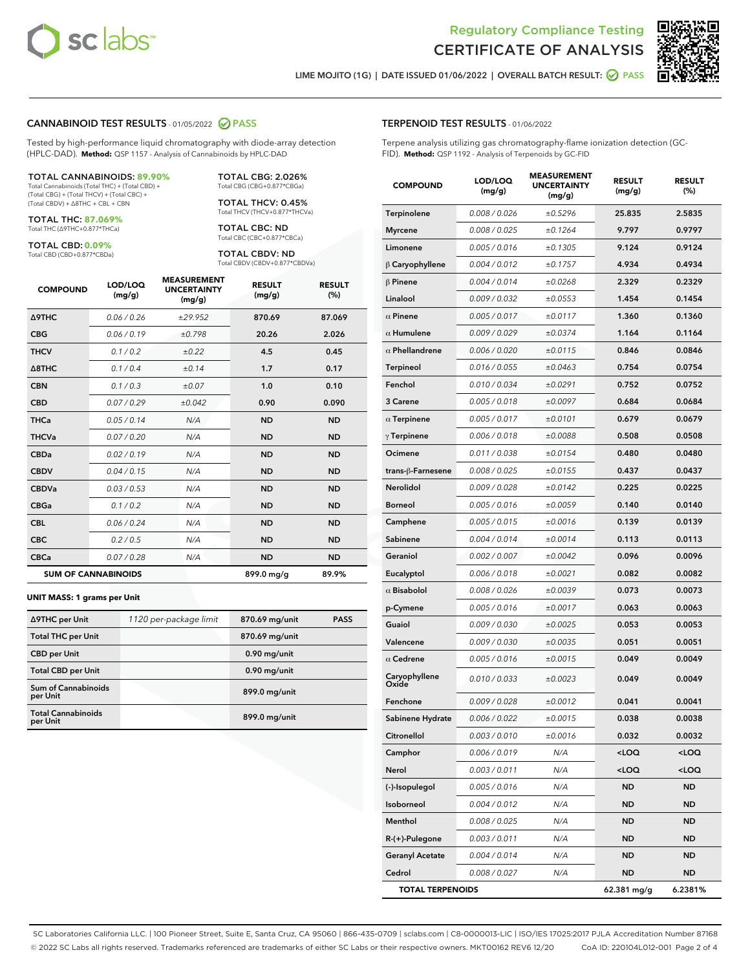

Terpene analysis utilizing gas chromatography-flame ionization detection (GC-



LIME MOJITO (1G) | DATE ISSUED 01/06/2022 | OVERALL BATCH RESULT: @ PASS

TERPENOID TEST RESULTS - 01/06/2022

FID). **Method:** QSP 1192 - Analysis of Terpenoids by GC-FID

#### CANNABINOID TEST RESULTS - 01/05/2022 2 PASS

Tested by high-performance liquid chromatography with diode-array detection (HPLC-DAD). **Method:** QSP 1157 - Analysis of Cannabinoids by HPLC-DAD

#### TOTAL CANNABINOIDS: **89.90%**

Total Cannabinoids (Total THC) + (Total CBD) + (Total CBG) + (Total THCV) + (Total CBC) + (Total CBDV) + ∆8THC + CBL + CBN

TOTAL THC: **87.069%** Total THC (∆9THC+0.877\*THCa)

TOTAL CBD: **0.09%**

Total CBD (CBD+0.877\*CBDa)

TOTAL CBG: 2.026% Total CBG (CBG+0.877\*CBGa)

TOTAL THCV: 0.45% Total THCV (THCV+0.877\*THCVa)

TOTAL CBC: ND Total CBC (CBC+0.877\*CBCa)

TOTAL CBDV: ND Total CBDV (CBDV+0.877\*CBDVa)

| <b>COMPOUND</b>  | LOD/LOQ<br>(mg/g)          | <b>MEASUREMENT</b><br><b>UNCERTAINTY</b><br>(mg/g) | <b>RESULT</b><br>(mg/g) | <b>RESULT</b><br>(%) |
|------------------|----------------------------|----------------------------------------------------|-------------------------|----------------------|
| Δ9THC            | 0.06 / 0.26                | ±29.952                                            | 870.69                  | 87.069               |
| <b>CBG</b>       | 0.06/0.19                  | ±0.798                                             | 20.26                   | 2.026                |
| <b>THCV</b>      | 0.1/0.2                    | ±0.22                                              | 4.5                     | 0.45                 |
| $\triangle$ 8THC | 0.1/0.4                    | ±0.14                                              | 1.7                     | 0.17                 |
| <b>CBN</b>       | 0.1 / 0.3                  | ±0.07                                              | 1.0                     | 0.10                 |
| <b>CBD</b>       | 0.07/0.29                  | ±0.042                                             | 0.90                    | 0.090                |
| <b>THCa</b>      | 0.05/0.14                  | N/A                                                | <b>ND</b>               | <b>ND</b>            |
| <b>THCVa</b>     | 0.07 / 0.20                | N/A                                                | <b>ND</b>               | <b>ND</b>            |
| <b>CBDa</b>      | 0.02/0.19                  | N/A                                                | <b>ND</b>               | <b>ND</b>            |
| <b>CBDV</b>      | 0.04 / 0.15                | N/A                                                | <b>ND</b>               | <b>ND</b>            |
| <b>CBDVa</b>     | 0.03/0.53                  | N/A                                                | <b>ND</b>               | <b>ND</b>            |
| <b>CBGa</b>      | 0.1/0.2                    | N/A                                                | <b>ND</b>               | <b>ND</b>            |
| <b>CBL</b>       | 0.06 / 0.24                | N/A                                                | <b>ND</b>               | <b>ND</b>            |
| <b>CBC</b>       | 0.2 / 0.5                  | N/A                                                | <b>ND</b>               | <b>ND</b>            |
| <b>CBCa</b>      | 0.07 / 0.28                | N/A                                                | <b>ND</b>               | <b>ND</b>            |
|                  | <b>SUM OF CANNABINOIDS</b> |                                                    | 899.0 mg/g              | 89.9%                |

#### **UNIT MASS: 1 grams per Unit**

| ∆9THC per Unit                         | 1120 per-package limit | 870.69 mg/unit | <b>PASS</b> |
|----------------------------------------|------------------------|----------------|-------------|
| <b>Total THC per Unit</b>              |                        | 870.69 mg/unit |             |
| <b>CBD per Unit</b>                    |                        | $0.90$ mg/unit |             |
| <b>Total CBD per Unit</b>              |                        | $0.90$ mg/unit |             |
| <b>Sum of Cannabinoids</b><br>per Unit |                        | 899.0 mg/unit  |             |
| <b>Total Cannabinoids</b><br>per Unit  |                        | 899.0 mg/unit  |             |

| <b>COMPOUND</b>        | LOD/LOQ<br>(mg/g) | <b>MEASUREMENT</b><br><b>UNCERTAINTY</b><br>(mg/g) | <b>RESULT</b><br>(mg/g)                          | <b>RESULT</b><br>(%) |
|------------------------|-------------------|----------------------------------------------------|--------------------------------------------------|----------------------|
| Terpinolene            | 0.008 / 0.026     | ±0.5296                                            | 25.835                                           | 2.5835               |
| <b>Myrcene</b>         | 0.008 / 0.025     | ±0.1264                                            | 9.797                                            | 0.9797               |
| Limonene               | 0.005 / 0.016     | ±0.1305                                            | 9.124                                            | 0.9124               |
| $\beta$ Caryophyllene  | 0.004 / 0.012     | ±0.1757                                            | 4.934                                            | 0.4934               |
| $\beta$ Pinene         | 0.004 / 0.014     | ±0.0268                                            | 2.329                                            | 0.2329               |
| Linalool               | 0.009 / 0.032     | ±0.0553                                            | 1.454                                            | 0.1454               |
| $\alpha$ Pinene        | 0.005 / 0.017     | ±0.0117                                            | 1.360                                            | 0.1360               |
| $\alpha$ Humulene      | 0.009/0.029       | ±0.0374                                            | 1.164                                            | 0.1164               |
| $\alpha$ Phellandrene  | 0.006 / 0.020     | ±0.0115                                            | 0.846                                            | 0.0846               |
| <b>Terpineol</b>       | 0.016 / 0.055     | ±0.0463                                            | 0.754                                            | 0.0754               |
| Fenchol                | 0.010 / 0.034     | ±0.0291                                            | 0.752                                            | 0.0752               |
| 3 Carene               | 0.005 / 0.018     | ±0.0097                                            | 0.684                                            | 0.0684               |
| $\alpha$ Terpinene     | 0.005 / 0.017     | ±0.0101                                            | 0.679                                            | 0.0679               |
| $\gamma$ Terpinene     | 0.006 / 0.018     | ±0.0088                                            | 0.508                                            | 0.0508               |
| Ocimene                | 0.011 / 0.038     | ±0.0154                                            | 0.480                                            | 0.0480               |
| trans-β-Farnesene      | 0.008 / 0.025     | ±0.0155                                            | 0.437                                            | 0.0437               |
| Nerolidol              | 0.009 / 0.028     | ±0.0142                                            | 0.225                                            | 0.0225               |
| <b>Borneol</b>         | 0.005 / 0.016     | ±0.0059                                            | 0.140                                            | 0.0140               |
| Camphene               | 0.005 / 0.015     | ±0.0016                                            | 0.139                                            | 0.0139               |
| Sabinene               | 0.004 / 0.014     | ±0.0014                                            | 0.113                                            | 0.0113               |
| Geraniol               | 0.002 / 0.007     | ±0.0042                                            | 0.096                                            | 0.0096               |
| Eucalyptol             | 0.006 / 0.018     | ±0.0021                                            | 0.082                                            | 0.0082               |
| $\alpha$ Bisabolol     | 0.008 / 0.026     | ±0.0039                                            | 0.073                                            | 0.0073               |
| p-Cymene               | 0.005 / 0.016     | ±0.0017                                            | 0.063                                            | 0.0063               |
| Guaiol                 | 0.009 / 0.030     | ±0.0025                                            | 0.053                                            | 0.0053               |
| Valencene              | 0.009 / 0.030     | ±0.0035                                            | 0.051                                            | 0.0051               |
| $\alpha$ Cedrene       | 0.005 / 0.016     | ±0.0015                                            | 0.049                                            | 0.0049               |
| Caryophyllene<br>Oxide | 0.010 / 0.033     | ±0.0023                                            | 0.049                                            | 0.0049               |
| Fenchone               | 0.009 / 0.028     | ±0.0012                                            | 0.041                                            | 0.0041               |
| Sabinene Hydrate       | 0.006 / 0.022     | ±0.0015                                            | 0.038                                            | 0.0038               |
| Citronellol            | 0.003 / 0.010     | ±0.0016                                            | 0.032                                            | 0.0032               |
| Camphor                | 0.006 / 0.019     | N/A                                                | <loq< th=""><th><math>&lt;</math>LOQ</th></loq<> | $<$ LOQ              |
| Nerol                  | 0.003 / 0.011     | N/A                                                | <loq< th=""><th><loq< th=""></loq<></th></loq<>  | <loq< th=""></loq<>  |
| (-)-Isopulegol         | 0.005 / 0.016     | N/A                                                | ND                                               | ND                   |
| Isoborneol             | 0.004 / 0.012     | N/A                                                | <b>ND</b>                                        | ND                   |
| Menthol                | 0.008 / 0.025     | N/A                                                | <b>ND</b>                                        | ND                   |
| R-(+)-Pulegone         | 0.003 / 0.011     | N/A                                                | ND                                               | ND                   |
| <b>Geranyl Acetate</b> | 0.004 / 0.014     | N/A                                                | <b>ND</b>                                        | ND                   |
| Cedrol                 | 0.008 / 0.027     | N/A                                                | <b>ND</b>                                        | ND                   |

TOTAL TERPENOIDS 62.381 mg/g 6.2381%

SC Laboratories California LLC. | 100 Pioneer Street, Suite E, Santa Cruz, CA 95060 | 866-435-0709 | sclabs.com | C8-0000013-LIC | ISO/IES 17025:2017 PJLA Accreditation Number 87168 © 2022 SC Labs all rights reserved. Trademarks referenced are trademarks of either SC Labs or their respective owners. MKT00162 REV6 12/20 CoA ID: 220104L012-001 Page 2 of 4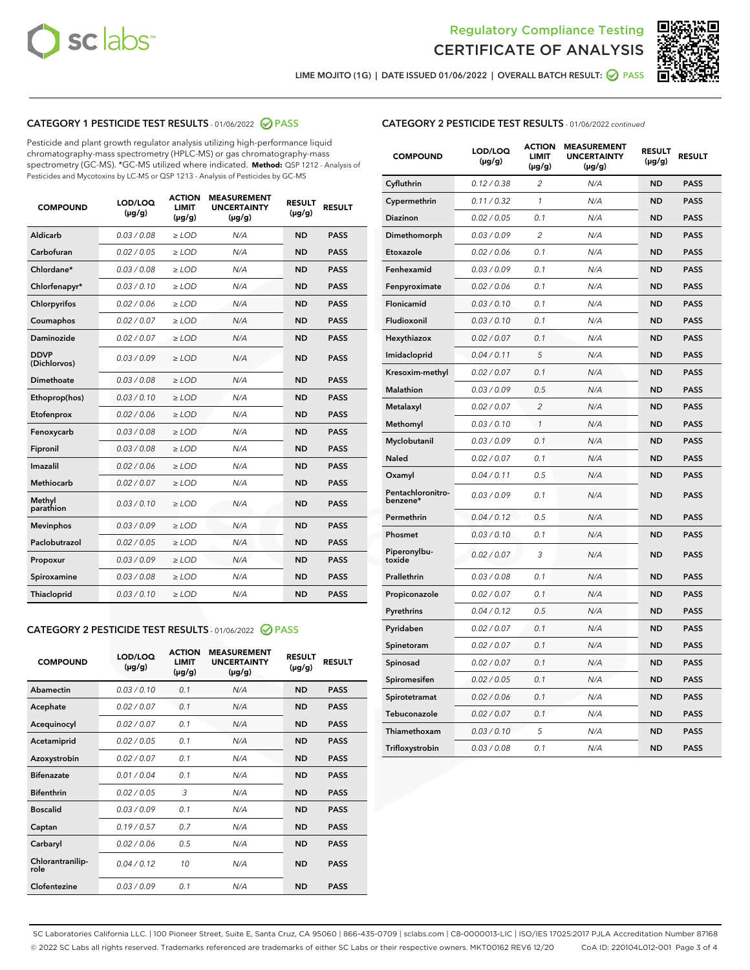



LIME MOJITO (1G) | DATE ISSUED 01/06/2022 | OVERALL BATCH RESULT:  $\bigcirc$  PASS

# CATEGORY 1 PESTICIDE TEST RESULTS - 01/06/2022 2 PASS

Pesticide and plant growth regulator analysis utilizing high-performance liquid chromatography-mass spectrometry (HPLC-MS) or gas chromatography-mass spectrometry (GC-MS). \*GC-MS utilized where indicated. **Method:** QSP 1212 - Analysis of Pesticides and Mycotoxins by LC-MS or QSP 1213 - Analysis of Pesticides by GC-MS

| <b>COMPOUND</b>             | LOD/LOQ<br>$(\mu g/g)$ | <b>ACTION</b><br><b>LIMIT</b><br>$(\mu g/g)$ | <b>MEASUREMENT</b><br><b>UNCERTAINTY</b><br>$(\mu g/g)$ | <b>RESULT</b><br>$(\mu g/g)$ | <b>RESULT</b> |
|-----------------------------|------------------------|----------------------------------------------|---------------------------------------------------------|------------------------------|---------------|
| Aldicarb                    | 0.03 / 0.08            | $\ge$ LOD                                    | N/A                                                     | <b>ND</b>                    | <b>PASS</b>   |
| Carbofuran                  | 0.02 / 0.05            | $\geq$ LOD                                   | N/A                                                     | <b>ND</b>                    | <b>PASS</b>   |
| Chlordane*                  | 0.03 / 0.08            | $\ge$ LOD                                    | N/A                                                     | <b>ND</b>                    | <b>PASS</b>   |
| Chlorfenapyr*               | 0.03/0.10              | $\ge$ LOD                                    | N/A                                                     | <b>ND</b>                    | <b>PASS</b>   |
| Chlorpyrifos                | 0.02 / 0.06            | $\ge$ LOD                                    | N/A                                                     | <b>ND</b>                    | <b>PASS</b>   |
| Coumaphos                   | 0.02 / 0.07            | $\ge$ LOD                                    | N/A                                                     | <b>ND</b>                    | <b>PASS</b>   |
| Daminozide                  | 0.02 / 0.07            | $\ge$ LOD                                    | N/A                                                     | <b>ND</b>                    | <b>PASS</b>   |
| <b>DDVP</b><br>(Dichlorvos) | 0.03/0.09              | $\ge$ LOD                                    | N/A                                                     | <b>ND</b>                    | <b>PASS</b>   |
| Dimethoate                  | 0.03 / 0.08            | $>$ LOD                                      | N/A                                                     | <b>ND</b>                    | <b>PASS</b>   |
| Ethoprop(hos)               | 0.03/0.10              | $\ge$ LOD                                    | N/A                                                     | <b>ND</b>                    | <b>PASS</b>   |
| Etofenprox                  | 0.02/0.06              | $>$ LOD                                      | N/A                                                     | <b>ND</b>                    | <b>PASS</b>   |
| Fenoxycarb                  | 0.03 / 0.08            | $\geq$ LOD                                   | N/A                                                     | <b>ND</b>                    | <b>PASS</b>   |
| Fipronil                    | 0.03 / 0.08            | $>$ LOD                                      | N/A                                                     | <b>ND</b>                    | <b>PASS</b>   |
| Imazalil                    | 0.02 / 0.06            | $\ge$ LOD                                    | N/A                                                     | <b>ND</b>                    | <b>PASS</b>   |
| <b>Methiocarb</b>           | 0.02 / 0.07            | $\ge$ LOD                                    | N/A                                                     | <b>ND</b>                    | <b>PASS</b>   |
| Methyl<br>parathion         | 0.03/0.10              | $\ge$ LOD                                    | N/A                                                     | <b>ND</b>                    | <b>PASS</b>   |
| <b>Mevinphos</b>            | 0.03/0.09              | $\ge$ LOD                                    | N/A                                                     | <b>ND</b>                    | <b>PASS</b>   |
| Paclobutrazol               | 0.02 / 0.05            | $\ge$ LOD                                    | N/A                                                     | <b>ND</b>                    | <b>PASS</b>   |
| Propoxur                    | 0.03/0.09              | $\ge$ LOD                                    | N/A                                                     | <b>ND</b>                    | <b>PASS</b>   |
| Spiroxamine                 | 0.03 / 0.08            | $\ge$ LOD                                    | N/A                                                     | <b>ND</b>                    | <b>PASS</b>   |
| <b>Thiacloprid</b>          | 0.03/0.10              | $\ge$ LOD                                    | N/A                                                     | <b>ND</b>                    | <b>PASS</b>   |

#### CATEGORY 2 PESTICIDE TEST RESULTS - 01/06/2022 2 PASS

| <b>COMPOUND</b>          | LOD/LOO<br>$(\mu g/g)$ | <b>ACTION</b><br>LIMIT<br>$(\mu g/g)$ | <b>MEASUREMENT</b><br><b>UNCERTAINTY</b><br>$(\mu g/g)$ | <b>RESULT</b><br>$(\mu g/g)$ | <b>RESULT</b> |
|--------------------------|------------------------|---------------------------------------|---------------------------------------------------------|------------------------------|---------------|
| Abamectin                | 0.03/0.10              | 0.1                                   | N/A                                                     | <b>ND</b>                    | <b>PASS</b>   |
| Acephate                 | 0.02/0.07              | 0.1                                   | N/A                                                     | <b>ND</b>                    | <b>PASS</b>   |
| Acequinocyl              | 0.02/0.07              | 0.1                                   | N/A                                                     | <b>ND</b>                    | <b>PASS</b>   |
| Acetamiprid              | 0.02/0.05              | 0.1                                   | N/A                                                     | <b>ND</b>                    | <b>PASS</b>   |
| Azoxystrobin             | 0.02/0.07              | 0.1                                   | N/A                                                     | <b>ND</b>                    | <b>PASS</b>   |
| <b>Bifenazate</b>        | 0.01 / 0.04            | 0.1                                   | N/A                                                     | <b>ND</b>                    | <b>PASS</b>   |
| <b>Bifenthrin</b>        | 0.02 / 0.05            | 3                                     | N/A                                                     | <b>ND</b>                    | <b>PASS</b>   |
| <b>Boscalid</b>          | 0.03/0.09              | 0.1                                   | N/A                                                     | <b>ND</b>                    | <b>PASS</b>   |
| Captan                   | 0.19/0.57              | 0.7                                   | N/A                                                     | <b>ND</b>                    | <b>PASS</b>   |
| Carbaryl                 | 0.02/0.06              | 0.5                                   | N/A                                                     | <b>ND</b>                    | <b>PASS</b>   |
| Chlorantranilip-<br>role | 0.04/0.12              | 10                                    | N/A                                                     | <b>ND</b>                    | <b>PASS</b>   |
| Clofentezine             | 0.03/0.09              | 0.1                                   | N/A                                                     | <b>ND</b>                    | <b>PASS</b>   |

# CATEGORY 2 PESTICIDE TEST RESULTS - 01/06/2022 continued

| <b>COMPOUND</b>               | LOD/LOQ<br>(µg/g) | <b>ACTION</b><br><b>LIMIT</b><br>$(\mu g/g)$ | <b>MEASUREMENT</b><br><b>UNCERTAINTY</b><br>$(\mu g/g)$ | <b>RESULT</b><br>(µg/g) | <b>RESULT</b> |
|-------------------------------|-------------------|----------------------------------------------|---------------------------------------------------------|-------------------------|---------------|
| Cyfluthrin                    | 0.12 / 0.38       | $\overline{c}$                               | N/A                                                     | <b>ND</b>               | <b>PASS</b>   |
| Cypermethrin                  | 0.11 / 0.32       | 1                                            | N/A                                                     | ND                      | <b>PASS</b>   |
| Diazinon                      | 0.02 / 0.05       | 0.1                                          | N/A                                                     | ND                      | <b>PASS</b>   |
| Dimethomorph                  | 0.03 / 0.09       | 2                                            | N/A                                                     | ND                      | <b>PASS</b>   |
| Etoxazole                     | 0.02 / 0.06       | 0.1                                          | N/A                                                     | <b>ND</b>               | <b>PASS</b>   |
| Fenhexamid                    | 0.03 / 0.09       | 0.1                                          | N/A                                                     | <b>ND</b>               | <b>PASS</b>   |
| Fenpyroximate                 | 0.02 / 0.06       | 0.1                                          | N/A                                                     | ND                      | <b>PASS</b>   |
| Flonicamid                    | 0.03 / 0.10       | 0.1                                          | N/A                                                     | ND                      | <b>PASS</b>   |
| Fludioxonil                   | 0.03 / 0.10       | 0.1                                          | N/A                                                     | <b>ND</b>               | <b>PASS</b>   |
| Hexythiazox                   | 0.02 / 0.07       | 0.1                                          | N/A                                                     | ND                      | <b>PASS</b>   |
| Imidacloprid                  | 0.04 / 0.11       | 5                                            | N/A                                                     | ND                      | <b>PASS</b>   |
| Kresoxim-methyl               | 0.02 / 0.07       | 0.1                                          | N/A                                                     | <b>ND</b>               | <b>PASS</b>   |
| <b>Malathion</b>              | 0.03 / 0.09       | 0.5                                          | N/A                                                     | ND                      | <b>PASS</b>   |
| Metalaxyl                     | 0.02 / 0.07       | $\overline{c}$                               | N/A                                                     | ND                      | <b>PASS</b>   |
| Methomyl                      | 0.03 / 0.10       | 1                                            | N/A                                                     | <b>ND</b>               | <b>PASS</b>   |
| Myclobutanil                  | 0.03 / 0.09       | 0.1                                          | N/A                                                     | ND                      | <b>PASS</b>   |
| Naled                         | 0.02 / 0.07       | 0.1                                          | N/A                                                     | ND                      | <b>PASS</b>   |
| Oxamyl                        | 0.04 / 0.11       | 0.5                                          | N/A                                                     | ND                      | <b>PASS</b>   |
| Pentachloronitro-<br>benzene* | 0.03 / 0.09       | 0.1                                          | N/A                                                     | ND                      | <b>PASS</b>   |
| Permethrin                    | 0.04 / 0.12       | 0.5                                          | N/A                                                     | <b>ND</b>               | <b>PASS</b>   |
| Phosmet                       | 0.03 / 0.10       | 0.1                                          | N/A                                                     | <b>ND</b>               | <b>PASS</b>   |
| Piperonylbu-<br>toxide        | 0.02 / 0.07       | 3                                            | N/A                                                     | ND                      | <b>PASS</b>   |
| Prallethrin                   | 0.03 / 0.08       | 0.1                                          | N/A                                                     | <b>ND</b>               | <b>PASS</b>   |
| Propiconazole                 | 0.02 / 0.07       | 0.1                                          | N/A                                                     | ND                      | <b>PASS</b>   |
| Pyrethrins                    | 0.04 / 0.12       | 0.5                                          | N/A                                                     | ND                      | <b>PASS</b>   |
| Pyridaben                     | 0.02 / 0.07       | 0.1                                          | N/A                                                     | ND                      | <b>PASS</b>   |
| Spinetoram                    | 0.02 / 0.07       | 0.1                                          | N/A                                                     | ND                      | <b>PASS</b>   |
| Spinosad                      | 0.02 / 0.07       | 0.1                                          | N/A                                                     | ND                      | <b>PASS</b>   |
| Spiromesifen                  | 0.02 / 0.05       | 0.1                                          | N/A                                                     | <b>ND</b>               | <b>PASS</b>   |
| Spirotetramat                 | 0.02 / 0.06       | 0.1                                          | N/A                                                     | ND                      | <b>PASS</b>   |
| Tebuconazole                  | 0.02 / 0.07       | 0.1                                          | N/A                                                     | ND                      | <b>PASS</b>   |
| Thiamethoxam                  | 0.03 / 0.10       | 5                                            | N/A                                                     | <b>ND</b>               | <b>PASS</b>   |
| Trifloxystrobin               | 0.03 / 0.08       | 0.1                                          | N/A                                                     | <b>ND</b>               | <b>PASS</b>   |

SC Laboratories California LLC. | 100 Pioneer Street, Suite E, Santa Cruz, CA 95060 | 866-435-0709 | sclabs.com | C8-0000013-LIC | ISO/IES 17025:2017 PJLA Accreditation Number 87168 © 2022 SC Labs all rights reserved. Trademarks referenced are trademarks of either SC Labs or their respective owners. MKT00162 REV6 12/20 CoA ID: 220104L012-001 Page 3 of 4